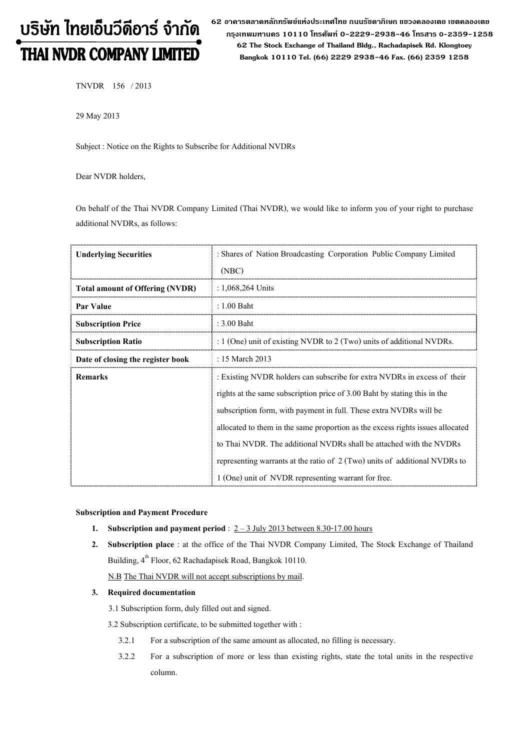# บริษัท ไทยเอ็นวีดีอาร์ จำกัด THAI NVDR COMPANY LIMITED

62 อาดารตลาดหลักทรัพย์แห่งประเทศไทย ถนนรัซดาภิเษก แขวงดลองเตย เขตดลองเตย กรุงเทพมหานดร 10110 โทรศัพท์ 0-2229-2938-46 โทรสาร 0-2359-1258 62 The Stock Exchange of Thailand Bldg., Rachadapisek Rd. Klongtoey Bangkok 10110 Tel. (66) 2229 2938-46 Fax. (66) 2359 1258

TNVDR 156 / 2013

29 May 2013

Subject : Notice on the Rights to Subscribe for Additional NVDRs

Dear NVDR holders,

On behalf of the Thai NVDR Company Limited (Thai NVDR), we would like to inform you of your right to purchase additional NVDRs, as follows:

| <b>Underlying Securities</b>           | : Shares of Nation Broadcasting Corporation Public Company Limited<br>(NBC)                                                                                                                                                                                                                                                                                                                                                                                                                                               |
|----------------------------------------|---------------------------------------------------------------------------------------------------------------------------------------------------------------------------------------------------------------------------------------------------------------------------------------------------------------------------------------------------------------------------------------------------------------------------------------------------------------------------------------------------------------------------|
| <b>Total amount of Offering (NVDR)</b> | : $1,068,264$ Units                                                                                                                                                                                                                                                                                                                                                                                                                                                                                                       |
| Par Value                              | $: 1.00$ Baht                                                                                                                                                                                                                                                                                                                                                                                                                                                                                                             |
| <b>Subscription Price</b>              | $: 3.00$ Baht                                                                                                                                                                                                                                                                                                                                                                                                                                                                                                             |
| <b>Subscription Ratio</b>              | : $1$ (One) unit of existing NVDR to $2$ (Two) units of additional NVDRs.                                                                                                                                                                                                                                                                                                                                                                                                                                                 |
| Date of closing the register book      | : 15 March 2013                                                                                                                                                                                                                                                                                                                                                                                                                                                                                                           |
| <b>Remarks</b>                         | : Existing NVDR holders can subscribe for extra NVDRs in excess of their<br>rights at the same subscription price of 3.00 Baht by stating this in the<br>subscription form, with payment in full. These extra NVDRs will be<br>allocated to them in the same proportion as the excess rights issues allocated<br>to Thai NVDR. The additional NVDRs shall be attached with the NVDRs<br>representing warrants at the ratio of 2 (Two) units of additional NVDRs to<br>1 (One) unit of NVDR representing warrant for free. |

### Subscription and Payment Procedure

- 1. Subscription and payment period :  $2 3$  July 2013 between 8.30-17.00 hours
- 2. Subscription place : at the office of the Thai NVDR Company Limited, The Stock Exchange of Thailand Building, 4<sup>th</sup> Floor, 62 Rachadapisek Road, Bangkok 10110.
	- N.B The Thai NVDR will not accept subscriptions by mail.

## 3. Required documentation

3.1 Subscription form, duly filled out and signed.

3.2 Subscription certificate, to be submitted together with :

- 3.2.1 For a subscription of the same amount as allocated, no filling is necessary.
- 3.2.2 For a subscription of more or less than existing rights, state the total units in the respective column.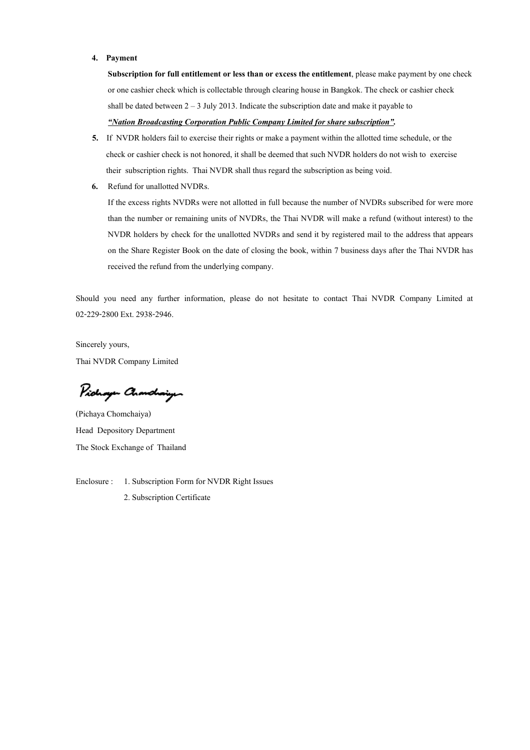#### 4. Payment

Subscription for full entitlement or less than or excess the entitlement, please make payment by one check or one cashier check which is collectable through clearing house in Bangkok. The check or cashier check shall be dated between  $2 - 3$  July 2013. Indicate the subscription date and make it payable to "Nation Broadcasting Corporation Public Company Limited for share subscription".

- 5. If NVDR holders fail to exercise their rights or make a payment within the allotted time schedule, or the check or cashier check is not honored, it shall be deemed that such NVDR holders do not wish to exercise their subscription rights. Thai NVDR shall thus regard the subscription as being void.
- 6. Refund for unallotted NVDRs.

If the excess rights NVDRs were not allotted in full because the number of NVDRs subscribed for were more than the number or remaining units of NVDRs, the Thai NVDR will make a refund (without interest) to the NVDR holders by check for the unallotted NVDRs and send it by registered mail to the address that appears on the Share Register Book on the date of closing the book, within 7 business days after the Thai NVDR has received the refund from the underlying company.

Should you need any further information, please do not hesitate to contact Thai NVDR Company Limited at 02-229-2800 Ext. 2938-2946.

Sincerely yours, Thai NVDR Company Limited

Pichaya Chanchaigen

(Pichaya Chomchaiya) Head Depository Department The Stock Exchange of Thailand

Enclosure : 1. Subscription Form for NVDR Right Issues 2. Subscription Certificate